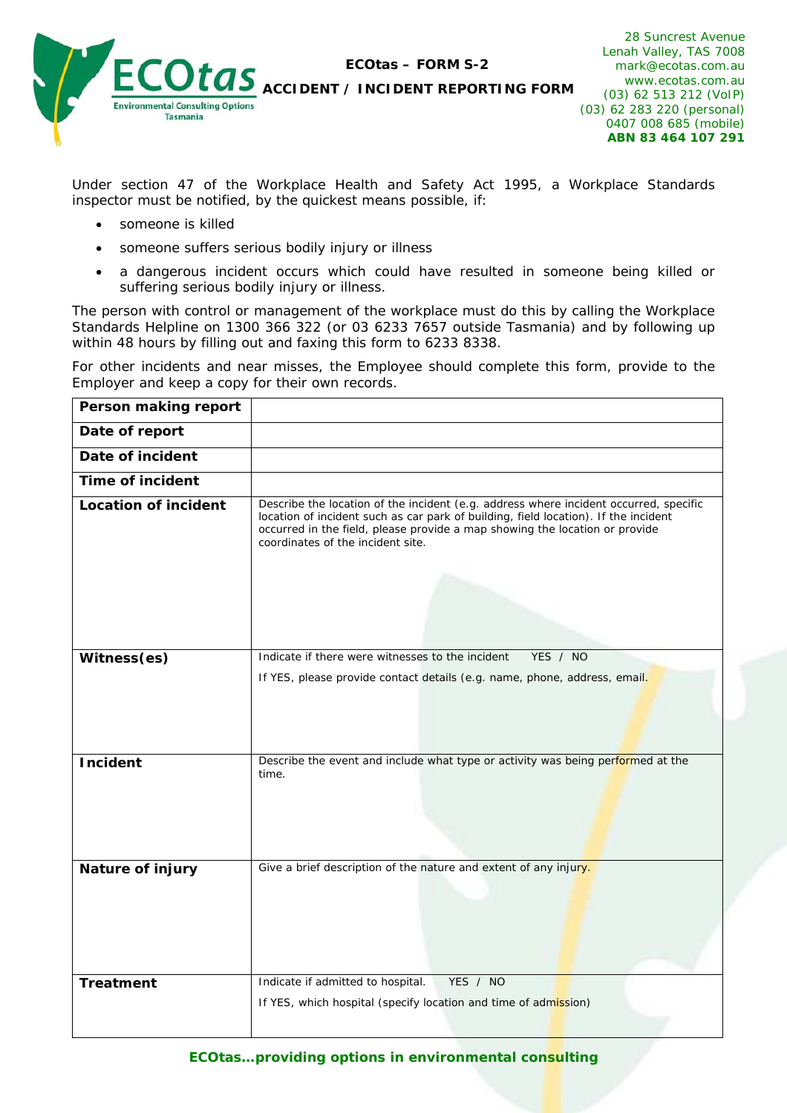

**ECO***tas* **– FORM S-2** 

**ACCIDENT / INCIDENT REPORTING FORM**

28 Suncrest Avenue Lenah Valley, TAS 7008 mark@ecotas.com.au www.ecotas.com.au (03) 62 513 212 (VoIP) (03) 62 283 220 (personal) 0407 008 685 (mobile) **ABN 83 464 107 291** 

Under section 47 of the Workplace Health and Safety Act 1995, a Workplace Standards inspector must be notified, by the quickest means possible, if:

- someone is killed
- someone suffers serious bodily injury or illness
- a dangerous incident occurs which could have resulted in someone being killed or suffering serious bodily injury or illness.

The person with control or management of the workplace must do this by calling the Workplace Standards Helpline on 1300 366 322 (or 03 6233 7657 outside Tasmania) and by following up within 48 hours by filling out and faxing this form to 6233 8338.

For other incidents and near misses, the Employee should complete this form, provide to the Employer and keep a copy for their own records.

| Person making report        |                                                                                                                                                                                                                                                                                                  |  |  |
|-----------------------------|--------------------------------------------------------------------------------------------------------------------------------------------------------------------------------------------------------------------------------------------------------------------------------------------------|--|--|
| Date of report              |                                                                                                                                                                                                                                                                                                  |  |  |
| Date of incident            |                                                                                                                                                                                                                                                                                                  |  |  |
| <b>Time of incident</b>     |                                                                                                                                                                                                                                                                                                  |  |  |
| <b>Location of incident</b> | Describe the location of the incident (e.g. address where incident occurred, specific<br>location of incident such as car park of building, field location). If the incident<br>occurred in the field, please provide a map showing the location or provide<br>coordinates of the incident site. |  |  |
| Witness(es)                 | Indicate if there were witnesses to the incident<br>YES / NO                                                                                                                                                                                                                                     |  |  |
|                             | If YES, please provide contact details (e.g. name, phone, address, email.                                                                                                                                                                                                                        |  |  |
| <b>Incident</b>             | Describe the event and include what type or activity was being performed at the<br>time.                                                                                                                                                                                                         |  |  |
| <b>Nature of injury</b>     | Give a brief description of the nature and extent of any injury.                                                                                                                                                                                                                                 |  |  |
| <b>Treatment</b>            | Indicate if admitted to hospital.<br>YES / NO<br>If YES, which hospital (specify location and time of admission)                                                                                                                                                                                 |  |  |

*ECOtas…providing options in environmental consulting*